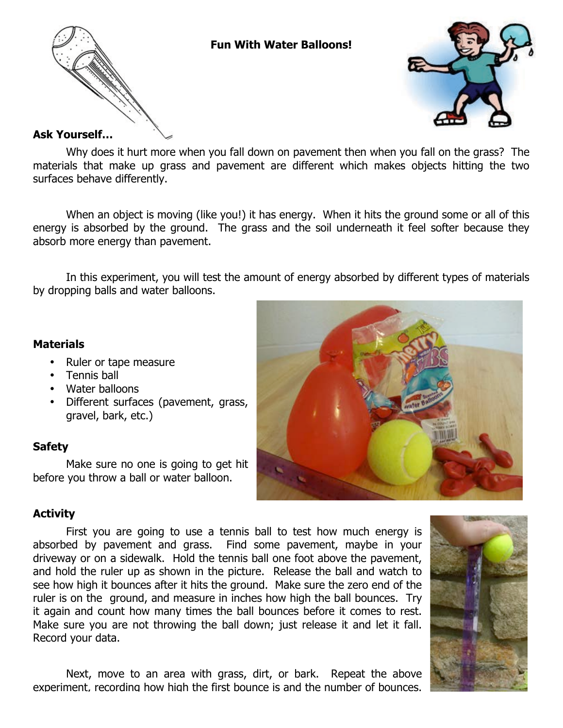



### **Ask Yourself…**

Why does it hurt more when you fall down on pavement then when you fall on the grass? The materials that make up grass and pavement are different which makes objects hitting the two surfaces behave differently.

**Fun With Water Balloons!**

When an object is moving (like you!) it has energy. When it hits the ground some or all of this energy is absorbed by the ground. The grass and the soil underneath it feel softer because they absorb more energy than pavement.

In this experiment, you will test the amount of energy absorbed by different types of materials by dropping balls and water balloons.

### **Materials**

- Ruler or tape measure
- Tennis ball
- Water balloons
- Different surfaces (pavement, grass, gravel, bark, etc.)

## **Safety**

Make sure no one is going to get hit before you throw a ball or water balloon.



# **Activity**

First you are going to use a tennis ball to test how much energy is absorbed by pavement and grass. Find some pavement, maybe in your driveway or on a sidewalk. Hold the tennis ball one foot above the pavement, and hold the ruler up as shown in the picture. Release the ball and watch to see how high it bounces after it hits the ground. Make sure the zero end of the ruler is on the ground, and measure in inches how high the ball bounces. Try it again and count how many times the ball bounces before it comes to rest. Make sure you are not throwing the ball down; just release it and let it fall. Record your data.